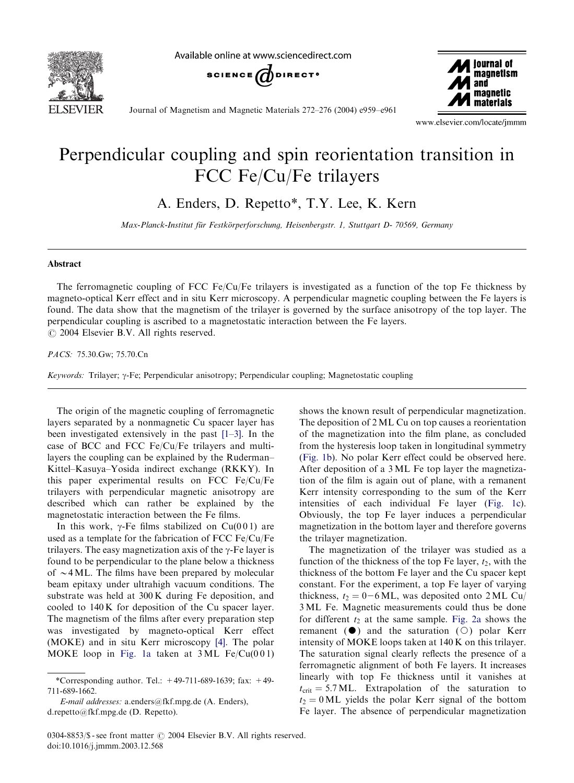

Available online at www.sciencedirect.com





Journal of Magnetism and Magnetic Materials 272–276 (2004) e959–e961

www.elsevier.com/locate/jmmm

## Perpendicular coupling and spin reorientation transition in FCC Fe/Cu/Fe trilayers

A. Enders, D. Repetto\*, T.Y. Lee, K. Kern

Max-Planck-Institut für Festkörperforschung, Heisenbergstr. 1, Stuttgart D- 70569, Germany

## Abstract

The ferromagnetic coupling of FCC Fe/Cu/Fe trilayers is investigated as a function of the top Fe thickness by magneto-optical Kerr effect and in situ Kerr microscopy. A perpendicular magnetic coupling between the Fe layers is found. The data show that the magnetism of the trilayer is governed by the surface anisotropy of the top layer. The perpendicular coupling is ascribed to a magnetostatic interaction between the Fe layers.  $O$  2004 Elsevier B.V. All rights reserved.

PACS: 75.30.Gw; 75.70.Cn

Keywords: Trilayer;  $\gamma$ -Fe; Perpendicular anisotropy; Perpendicular coupling; Magnetostatic coupling

The origin of the magnetic coupling of ferromagnetic layers separated by a nonmagnetic Cu spacer layer has been investigated extensively in the past [\[1–3\].](#page-2-0) In the case of BCC and FCC Fe/Cu/Fe trilayers and multilayers the coupling can be explained by the Ruderman– Kittel–Kasuya–Yosida indirect exchange (RKKY). In this paper experimental results on FCC Fe/Cu/Fe trilayers with perpendicular magnetic anisotropy are described which can rather be explained by the magnetostatic interaction between the Fe films.

In this work,  $\gamma$ -Fe films stabilized on Cu(001) are used as a template for the fabrication of FCC Fe/Cu/Fe trilayers. The easy magnetization axis of the  $\gamma$ -Fe layer is found to be perpendicular to the plane below a thickness of  $\sim$  4 ML. The films have been prepared by molecular beam epitaxy under ultrahigh vacuum conditions. The substrate was held at 300 K during Fe deposition, and cooled to 140 K for deposition of the Cu spacer layer. The magnetism of the films after every preparation step was investigated by magneto-optical Kerr effect (MOKE) and in situ Kerr microscopy [\[4\].](#page-2-0) The polar MOKE loop in [Fig. 1a](#page-1-0) taken at  $3ML \text{Fe/Cu}(001)$ 

shows the known result of perpendicular magnetization. The deposition of 2 ML Cu on top causes a reorientation of the magnetization into the film plane, as concluded from the hysteresis loop taken in longitudinal symmetry ([Fig. 1b\)](#page-1-0). No polar Kerr effect could be observed here. After deposition of a 3ML Fe top layer the magnetization of the film is again out of plane, with a remanent Kerr intensity corresponding to the sum of the Kerr intensities of each individual Fe layer [\(Fig. 1c\)](#page-1-0). Obviously, the top Fe layer induces a perpendicular magnetization in the bottom layer and therefore governs the trilayer magnetization.

The magnetization of the trilayer was studied as a function of the thickness of the top Fe layer,  $t_2$ , with the thickness of the bottom Fe layer and the Cu spacer kept constant. For the experiment, a top Fe layer of varying thickness,  $t_2 = 0-6$  ML, was deposited onto 2 ML Cu/ 3 ML Fe. Magnetic measurements could thus be done for different  $t_2$  at the same sample. [Fig. 2a](#page-1-0) shows the remanent ( $\bullet$ ) and the saturation ( $\circ$ ) polar Kerr intensity of MOKE loops taken at 140 K on this trilayer. The saturation signal clearly reflects the presence of a ferromagnetic alignment of both Fe layers. It increases linearly with top Fe thickness until it vanishes at  $t_{\text{crit}} = 5.7 \text{ ML}$ . Extrapolation of the saturation to  $t_2 = 0$  ML yields the polar Kerr signal of the bottom Fe layer. The absence of perpendicular magnetization

<sup>\*</sup>Corresponding author. Tel.: +49-711-689-1639; fax: +49- 711-689-1662.

E-mail addresses: a.enders@fkf.mpg.de (A. Enders), d.repetto@fkf.mpg.de (D. Repetto).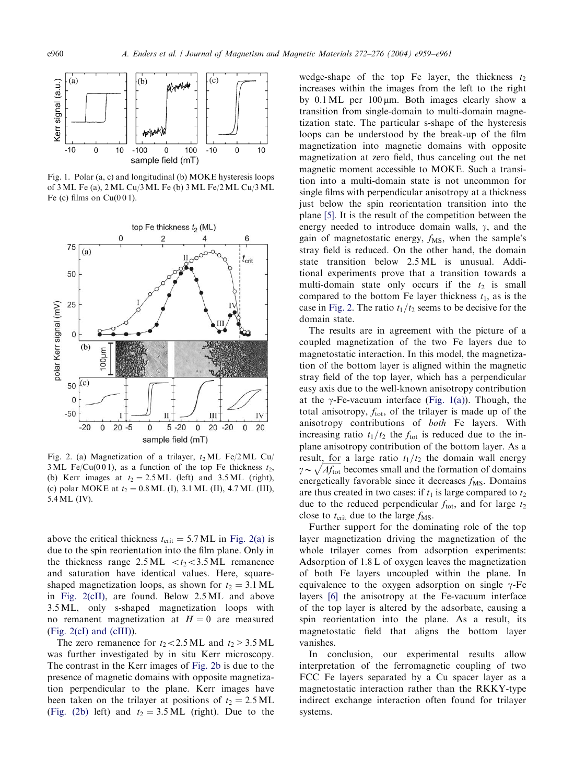<span id="page-1-0"></span>

Fig. 1. Polar (a, c) and longitudinal (b) MOKE hysteresis loops of 3 ML Fe (a), 2ML Cu/3ML Fe (b) 3 ML Fe/2ML Cu/3ML Fe (c) films on  $Cu(001)$ .



Fig. 2. (a) Magnetization of a trilayer,  $t_2ML$  Fe/2ML Cu/ 3 ML Fe/Cu(001), as a function of the top Fe thickness  $t_2$ , (b) Kerr images at  $t_2 = 2.5$  ML (left) and 3.5 ML (right), (c) polar MOKE at  $t_2 = 0.8$  ML (I), 3.1 ML (II), 4.7 ML (III), 5.4ML (IV).

above the critical thickness  $t_{\text{crit}} = 5.7 \text{ ML}$  in Fig. 2(a) is due to the spin reorientation into the film plane. Only in the thickness range  $2.5 \, \text{ML} < t_2 < 3.5 \, \text{ML}$  remanence and saturation have identical values. Here, squareshaped magnetization loops, as shown for  $t_2 = 3.1 \text{ ML}$ in Fig. 2(cII), are found. Below 2.5 ML and above 3.5 ML, only s-shaped magnetization loops with no remanent magnetization at  $H = 0$  are measured (Fig. 2(cI) and (cIII)).

The zero remanence for  $t_2 < 2.5$  ML and  $t_2 > 3.5$  ML was further investigated by in situ Kerr microscopy. The contrast in the Kerr images of Fig. 2b is due to the presence of magnetic domains with opposite magnetization perpendicular to the plane. Kerr images have been taken on the trilayer at positions of  $t_2 = 2.5 \text{ ML}$ (Fig. (2b) left) and  $t_2 = 3.5 \text{ ML}$  (right). Due to the

wedge-shape of the top Fe layer, the thickness  $t_2$ increases within the images from the left to the right by  $0.1 \text{ ML}$  per  $100 \mu \text{m}$ . Both images clearly show a transition from single-domain to multi-domain magnetization state. The particular s-shape of the hysteresis loops can be understood by the break-up of the film magnetization into magnetic domains with opposite magnetization at zero field, thus canceling out the net magnetic moment accessible to MOKE. Such a transition into a multi-domain state is not uncommon for single films with perpendicular anisotropy at a thickness just below the spin reorientation transition into the plane [\[5\].](#page-2-0) It is the result of the competition between the energy needed to introduce domain walls,  $\gamma$ , and the gain of magnetostatic energy,  $f_{\text{MS}}$ , when the sample's stray field is reduced. On the other hand, the domain state transition below 2.5 ML is unusual. Additional experiments prove that a transition towards a multi-domain state only occurs if the  $t<sub>2</sub>$  is small compared to the bottom Fe layer thickness  $t_1$ , as is the case in Fig. 2. The ratio  $t_1/t_2$  seems to be decisive for the domain state.

The results are in agreement with the picture of a coupled magnetization of the two Fe layers due to magnetostatic interaction. In this model, the magnetization of the bottom layer is aligned within the magnetic stray field of the top layer, which has a perpendicular easy axis due to the well-known anisotropy contribution at the  $\gamma$ -Fe-vacuum interface (Fig. 1(a)). Though, the total anisotropy,  $f_{\text{tot}}$ , of the trilayer is made up of the anisotropy contributions of both Fe layers. With increasing ratio  $t_1/t_2$  the  $f_{\text{tot}}$  is reduced due to the inplane anisotropy contribution of the bottom layer. As a result, for a large ratio  $t_1/t_2$  the domain wall energy  $\gamma \sim \sqrt{Af_{\text{tot}}}$  becomes small and the formation of domains energetically favorable since it decreases  $f_{\text{MS}}$ . Domains are thus created in two cases: if  $t_1$  is large compared to  $t_2$ due to the reduced perpendicular  $f_{\text{tot}}$ , and for large  $t_2$ close to  $t_{\text{crit}}$  due to the large  $f_{\text{MS}}$ .

Further support for the dominating role of the top layer magnetization driving the magnetization of the whole trilayer comes from adsorption experiments: Adsorption of 1.8 L of oxygen leaves the magnetization of both Fe layers uncoupled within the plane. In equivalence to the oxygen adsorption on single  $\gamma$ -Fe layers [\[6\]](#page-2-0) the anisotropy at the Fe-vacuum interface of the top layer is altered by the adsorbate, causing a spin reorientation into the plane. As a result, its magnetostatic field that aligns the bottom layer vanishes.

In conclusion, our experimental results allow interpretation of the ferromagnetic coupling of two FCC Fe layers separated by a Cu spacer layer as a magnetostatic interaction rather than the RKKY-type indirect exchange interaction often found for trilayer systems.